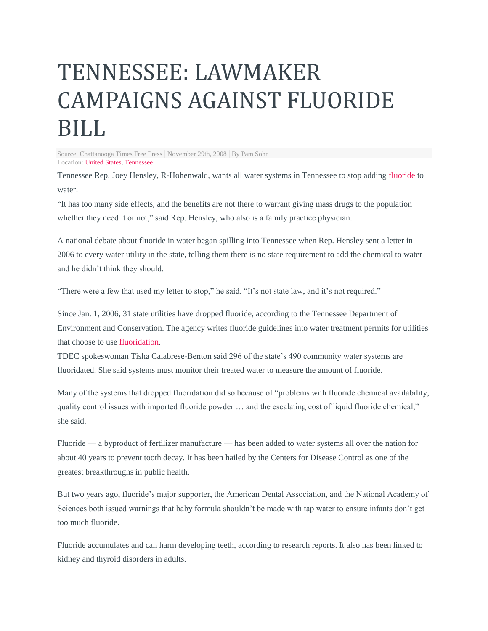## TENNESSEE: LAWMAKER CAMPAIGNS AGAINST FLUORIDE BILL

Source: Chattanooga Times Free Press | November 29th, 2008 | By Pam Sohn Location: [United](http://fluoridealert.org/news/?country=united-states) States, [Tennessee](http://fluoridealert.org/news/?country=united-states&sub=tennessee)

Tennessee Rep. Joey Hensley, R-Hohenwald, wants all water systems in Tennessee to stop addin[g fluoride](http://www.fluoridealert.org/) to water.

"It has too many side effects, and the benefits are not there to warrant giving mass drugs to the population whether they need it or not," said Rep. Hensley, who also is a family practice physician.

A national debate about fluoride in water began spilling into Tennessee when Rep. Hensley sent a letter in 2006 to every water utility in the state, telling them there is no state requirement to add the chemical to water and he didn't think they should.

"There were a few that used my letter to stop," he said. "It's not state law, and it's not required."

Since Jan. 1, 2006, 31 state utilities have dropped fluoride, according to the Tennessee Department of Environment and Conservation. The agency writes fluoride guidelines into water treatment permits for utilities that choose to us[e fluoridation.](http://www.fluoridealert.org/)

TDEC spokeswoman Tisha Calabrese-Benton said 296 of the state's 490 community water systems are fluoridated. She said systems must monitor their treated water to measure the amount of fluoride.

Many of the systems that dropped fluoridation did so because of "problems with fluoride chemical availability, quality control issues with imported fluoride powder … and the escalating cost of liquid fluoride chemical," she said.

Fluoride — a byproduct of fertilizer manufacture — has been added to water systems all over the nation for about 40 years to prevent tooth decay. It has been hailed by the Centers for Disease Control as one of the greatest breakthroughs in public health.

But two years ago, fluoride's major supporter, the American Dental Association, and the National Academy of Sciences both issued warnings that baby formula shouldn't be made with tap water to ensure infants don't get too much fluoride.

Fluoride accumulates and can harm developing teeth, according to research reports. It also has been linked to kidney and thyroid disorders in adults.